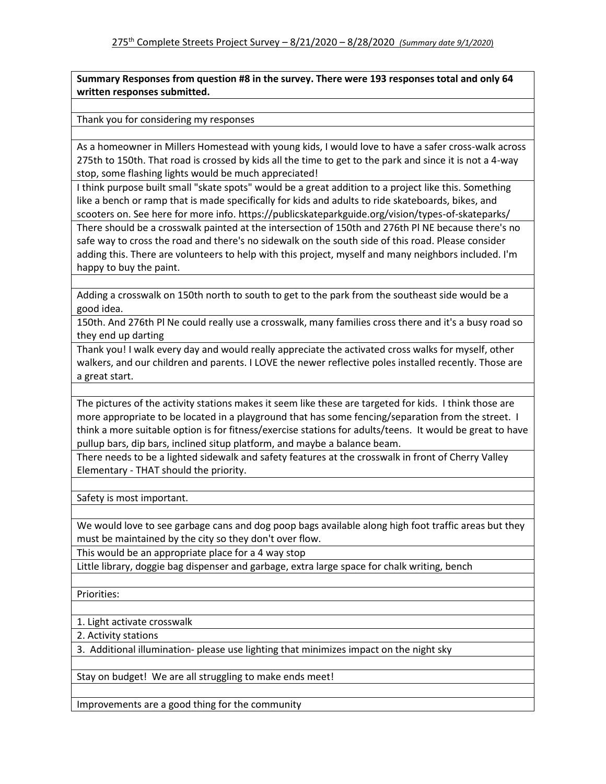**Summary Responses from question #8 in the survey. There were 193 responses total and only 64 written responses submitted.**

Thank you for considering my responses

As a homeowner in Millers Homestead with young kids, I would love to have a safer cross-walk across 275th to 150th. That road is crossed by kids all the time to get to the park and since it is not a 4-way stop, some flashing lights would be much appreciated!

I think purpose built small "skate spots" would be a great addition to a project like this. Something like a bench or ramp that is made specifically for kids and adults to ride skateboards, bikes, and scooters on. See here for more info. https://publicskateparkguide.org/vision/types-of-skateparks/

There should be a crosswalk painted at the intersection of 150th and 276th Pl NE because there's no safe way to cross the road and there's no sidewalk on the south side of this road. Please consider adding this. There are volunteers to help with this project, myself and many neighbors included. I'm happy to buy the paint.

Adding a crosswalk on 150th north to south to get to the park from the southeast side would be a good idea.

150th. And 276th Pl Ne could really use a crosswalk, many families cross there and it's a busy road so they end up darting

Thank you! I walk every day and would really appreciate the activated cross walks for myself, other walkers, and our children and parents. I LOVE the newer reflective poles installed recently. Those are a great start.

The pictures of the activity stations makes it seem like these are targeted for kids. I think those are more appropriate to be located in a playground that has some fencing/separation from the street. I think a more suitable option is for fitness/exercise stations for adults/teens. It would be great to have pullup bars, dip bars, inclined situp platform, and maybe a balance beam.

There needs to be a lighted sidewalk and safety features at the crosswalk in front of Cherry Valley Elementary - THAT should the priority.

Safety is most important.

We would love to see garbage cans and dog poop bags available along high foot traffic areas but they must be maintained by the city so they don't over flow.

This would be an appropriate place for a 4 way stop

Little library, doggie bag dispenser and garbage, extra large space for chalk writing, bench

Priorities:

1. Light activate crosswalk

2. Activity stations

3. Additional illumination- please use lighting that minimizes impact on the night sky

Stay on budget! We are all struggling to make ends meet!

Improvements are a good thing for the community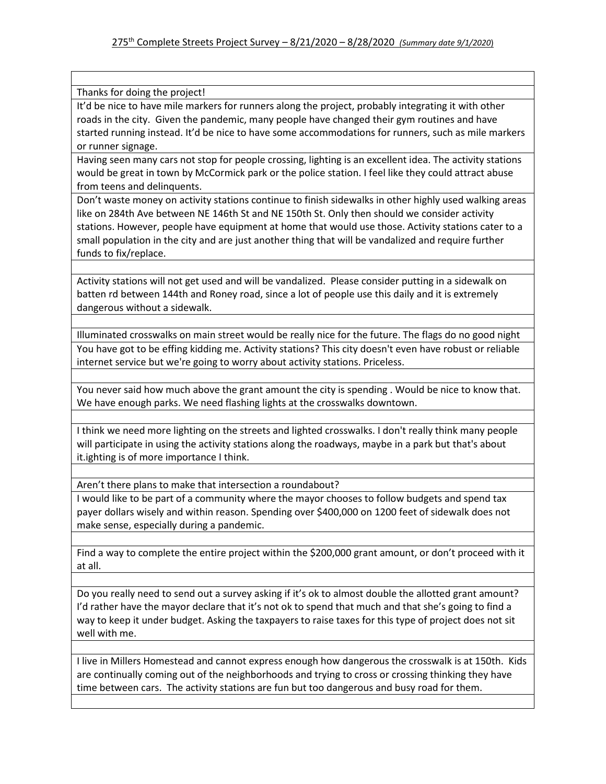Thanks for doing the project!

It'd be nice to have mile markers for runners along the project, probably integrating it with other roads in the city. Given the pandemic, many people have changed their gym routines and have started running instead. It'd be nice to have some accommodations for runners, such as mile markers or runner signage.

Having seen many cars not stop for people crossing, lighting is an excellent idea. The activity stations would be great in town by McCormick park or the police station. I feel like they could attract abuse from teens and delinquents.

Don't waste money on activity stations continue to finish sidewalks in other highly used walking areas like on 284th Ave between NE 146th St and NE 150th St. Only then should we consider activity stations. However, people have equipment at home that would use those. Activity stations cater to a small population in the city and are just another thing that will be vandalized and require further funds to fix/replace.

Activity stations will not get used and will be vandalized. Please consider putting in a sidewalk on batten rd between 144th and Roney road, since a lot of people use this daily and it is extremely dangerous without a sidewalk.

Illuminated crosswalks on main street would be really nice for the future. The flags do no good night You have got to be effing kidding me. Activity stations? This city doesn't even have robust or reliable internet service but we're going to worry about activity stations. Priceless.

You never said how much above the grant amount the city is spending . Would be nice to know that. We have enough parks. We need flashing lights at the crosswalks downtown.

I think we need more lighting on the streets and lighted crosswalks. I don't really think many people will participate in using the activity stations along the roadways, maybe in a park but that's about it.ighting is of more importance I think.

Aren't there plans to make that intersection a roundabout?

I would like to be part of a community where the mayor chooses to follow budgets and spend tax payer dollars wisely and within reason. Spending over \$400,000 on 1200 feet of sidewalk does not make sense, especially during a pandemic.

Find a way to complete the entire project within the \$200,000 grant amount, or don't proceed with it at all.

Do you really need to send out a survey asking if it's ok to almost double the allotted grant amount? I'd rather have the mayor declare that it's not ok to spend that much and that she's going to find a way to keep it under budget. Asking the taxpayers to raise taxes for this type of project does not sit well with me.

I live in Millers Homestead and cannot express enough how dangerous the crosswalk is at 150th. Kids are continually coming out of the neighborhoods and trying to cross or crossing thinking they have time between cars. The activity stations are fun but too dangerous and busy road for them.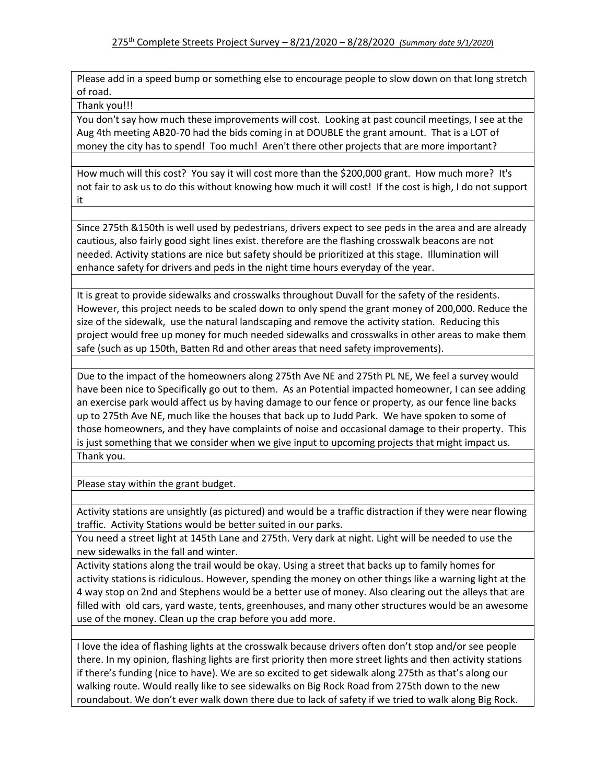Please add in a speed bump or something else to encourage people to slow down on that long stretch of road.

Thank you!!!

You don't say how much these improvements will cost. Looking at past council meetings, I see at the Aug 4th meeting AB20-70 had the bids coming in at DOUBLE the grant amount. That is a LOT of money the city has to spend! Too much! Aren't there other projects that are more important?

How much will this cost? You say it will cost more than the \$200,000 grant. How much more? It's not fair to ask us to do this without knowing how much it will cost! If the cost is high, I do not support it

Since 275th &150th is well used by pedestrians, drivers expect to see peds in the area and are already cautious, also fairly good sight lines exist. therefore are the flashing crosswalk beacons are not needed. Activity stations are nice but safety should be prioritized at this stage. Illumination will enhance safety for drivers and peds in the night time hours everyday of the year.

It is great to provide sidewalks and crosswalks throughout Duvall for the safety of the residents. However, this project needs to be scaled down to only spend the grant money of 200,000. Reduce the size of the sidewalk, use the natural landscaping and remove the activity station. Reducing this project would free up money for much needed sidewalks and crosswalks in other areas to make them safe (such as up 150th, Batten Rd and other areas that need safety improvements).

Due to the impact of the homeowners along 275th Ave NE and 275th PL NE, We feel a survey would have been nice to Specifically go out to them. As an Potential impacted homeowner, I can see adding an exercise park would affect us by having damage to our fence or property, as our fence line backs up to 275th Ave NE, much like the houses that back up to Judd Park. We have spoken to some of those homeowners, and they have complaints of noise and occasional damage to their property. This is just something that we consider when we give input to upcoming projects that might impact us. Thank you.

Please stay within the grant budget.

Activity stations are unsightly (as pictured) and would be a traffic distraction if they were near flowing traffic. Activity Stations would be better suited in our parks.

You need a street light at 145th Lane and 275th. Very dark at night. Light will be needed to use the new sidewalks in the fall and winter.

Activity stations along the trail would be okay. Using a street that backs up to family homes for activity stations is ridiculous. However, spending the money on other things like a warning light at the 4 way stop on 2nd and Stephens would be a better use of money. Also clearing out the alleys that are filled with old cars, yard waste, tents, greenhouses, and many other structures would be an awesome use of the money. Clean up the crap before you add more.

I love the idea of flashing lights at the crosswalk because drivers often don't stop and/or see people there. In my opinion, flashing lights are first priority then more street lights and then activity stations if there's funding (nice to have). We are so excited to get sidewalk along 275th as that's along our walking route. Would really like to see sidewalks on Big Rock Road from 275th down to the new roundabout. We don't ever walk down there due to lack of safety if we tried to walk along Big Rock.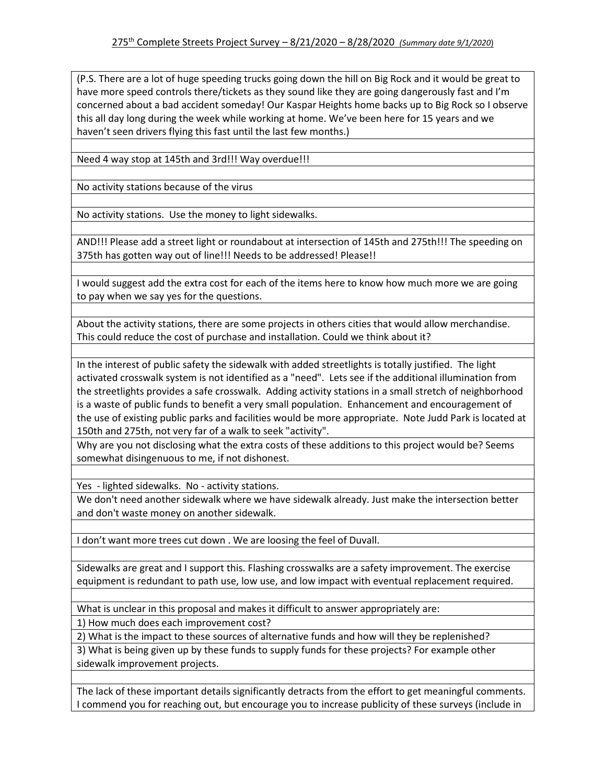(P.S. There are a lot of huge speeding trucks going down the hill on Big Rock and it would be great to have more speed controls there/tickets as they sound like they are going dangerously fast and I'm concerned about a bad accident someday! Our Kaspar Heights home backs up to Big Rock so I observe this all day long during the week while working at home. We've been here for 15 years and we haven't seen drivers flying this fast until the last few months.)

Need 4 way stop at 145th and 3rd!!! Way overdue!!!

No activity stations because of the virus

No activity stations. Use the money to light sidewalks.

AND!!! Please add a street light or roundabout at intersection of 145th and 275th!!! The speeding on 375th has gotten way out of line!!! Needs to be addressed! Please!!

I would suggest add the extra cost for each of the items here to know how much more we are going to pay when we say yes for the questions.

About the activity stations, there are some projects in others cities that would allow merchandise. This could reduce the cost of purchase and installation. Could we think about it?

In the interest of public safety the sidewalk with added streetlights is totally justified. The light activated crosswalk system is not identified as a "need". Lets see if the additional illumination from the streetlights provides a safe crosswalk. Adding activity stations in a small stretch of neighborhood is a waste of public funds to benefit a very small population. Enhancement and encouragement of the use of existing public parks and facilities would be more appropriate. Note Judd Park is located at 150th and 275th, not very far of a walk to seek "activity".

Why are you not disclosing what the extra costs of these additions to this project would be? Seems somewhat disingenuous to me, if not dishonest.

Yes - lighted sidewalks. No - activity stations.

We don't need another sidewalk where we have sidewalk already. Just make the intersection better and don't waste money on another sidewalk.

I don't want more trees cut down . We are loosing the feel of Duvall.

Sidewalks are great and I support this. Flashing crosswalks are a safety improvement. The exercise equipment is redundant to path use, low use, and low impact with eventual replacement required.

What is unclear in this proposal and makes it difficult to answer appropriately are:

1) How much does each improvement cost?

2) What is the impact to these sources of alternative funds and how will they be replenished?

3) What is being given up by these funds to supply funds for these projects? For example other sidewalk improvement projects.

The lack of these important details significantly detracts from the effort to get meaningful comments. I commend you for reaching out, but encourage you to increase publicity of these surveys (include in